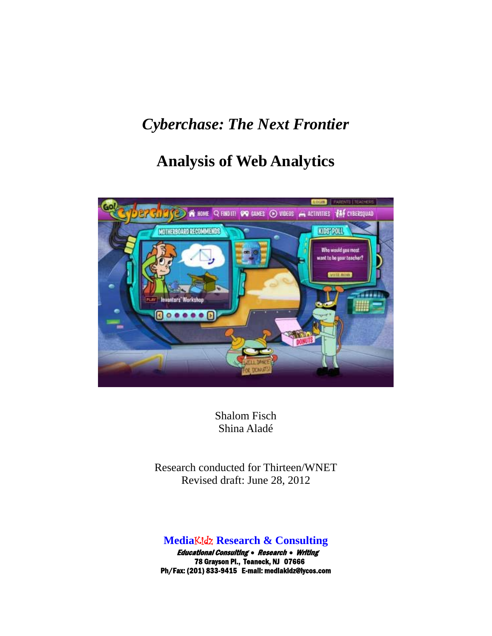## *Cyberchase: The Next Frontier*

# **Analysis of Web Analytics**



Shalom Fisch Shina Aladé

Research conducted for Thirteen/WNET Revised draft: June 28, 2012

## **Media**Kidz **Research & Consulting**

 Educational Consulting • Research • Writing 78 Grayson Pl., Teaneck, NJ 07666 Ph/Fax: (201) 833-9415 E-mail: mediakidz@lycos.com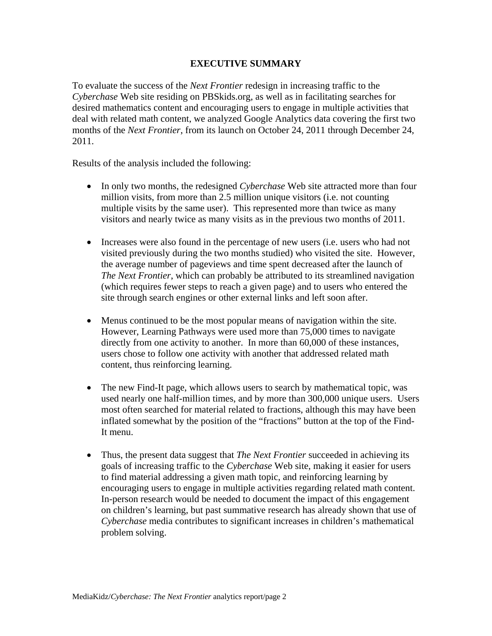#### **EXECUTIVE SUMMARY**

To evaluate the success of the *Next Frontier* redesign in increasing traffic to the *Cyberchase* Web site residing on PBSkids.org, as well as in facilitating searches for desired mathematics content and encouraging users to engage in multiple activities that deal with related math content, we analyzed Google Analytics data covering the first two months of the *Next Frontier*, from its launch on October 24, 2011 through December 24, 2011.

Results of the analysis included the following:

- In only two months, the redesigned *Cyberchase* Web site attracted more than four million visits, from more than 2.5 million unique visitors (i.e. not counting multiple visits by the same user). This represented more than twice as many visitors and nearly twice as many visits as in the previous two months of 2011.
- Increases were also found in the percentage of new users (i.e. users who had not visited previously during the two months studied) who visited the site. However, the average number of pageviews and time spent decreased after the launch of *The Next Frontier*, which can probably be attributed to its streamlined navigation (which requires fewer steps to reach a given page) and to users who entered the site through search engines or other external links and left soon after.
- Menus continued to be the most popular means of navigation within the site. However, Learning Pathways were used more than 75,000 times to navigate directly from one activity to another. In more than 60,000 of these instances, users chose to follow one activity with another that addressed related math content, thus reinforcing learning.
- The new Find-It page, which allows users to search by mathematical topic, was used nearly one half-million times, and by more than 300,000 unique users. Users most often searched for material related to fractions, although this may have been inflated somewhat by the position of the "fractions" button at the top of the Find-It menu.
- Thus, the present data suggest that *The Next Frontier* succeeded in achieving its goals of increasing traffic to the *Cyberchase* Web site, making it easier for users to find material addressing a given math topic, and reinforcing learning by encouraging users to engage in multiple activities regarding related math content. In-person research would be needed to document the impact of this engagement on children's learning, but past summative research has already shown that use of *Cyberchase* media contributes to significant increases in children's mathematical problem solving.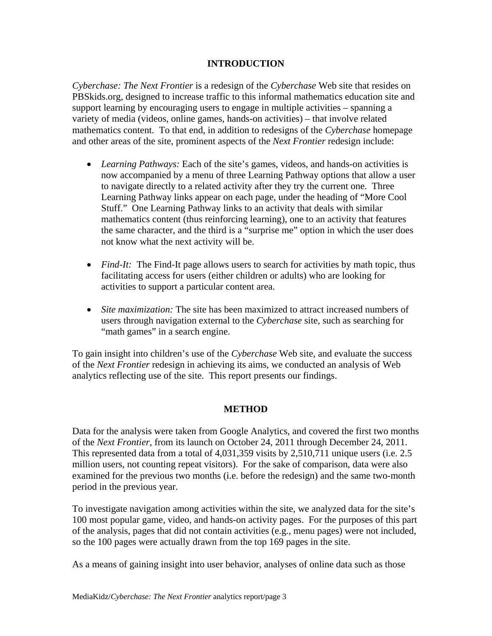### **INTRODUCTION**

*Cyberchase: The Next Frontier* is a redesign of the *Cyberchase* Web site that resides on PBSkids.org, designed to increase traffic to this informal mathematics education site and support learning by encouraging users to engage in multiple activities – spanning a variety of media (videos, online games, hands-on activities) – that involve related mathematics content. To that end, in addition to redesigns of the *Cyberchase* homepage and other areas of the site, prominent aspects of the *Next Frontier* redesign include:

- *Learning Pathways:* Each of the site's games, videos, and hands-on activities is now accompanied by a menu of three Learning Pathway options that allow a user to navigate directly to a related activity after they try the current one. Three Learning Pathway links appear on each page, under the heading of "More Cool Stuff." One Learning Pathway links to an activity that deals with similar mathematics content (thus reinforcing learning), one to an activity that features the same character, and the third is a "surprise me" option in which the user does not know what the next activity will be.
- *Find-It:* The Find-It page allows users to search for activities by math topic, thus facilitating access for users (either children or adults) who are looking for activities to support a particular content area.
- *Site maximization:* The site has been maximized to attract increased numbers of users through navigation external to the *Cyberchase* site, such as searching for "math games" in a search engine.

To gain insight into children's use of the *Cyberchase* Web site, and evaluate the success of the *Next Frontier* redesign in achieving its aims, we conducted an analysis of Web analytics reflecting use of the site. This report presents our findings.

#### **METHOD**

Data for the analysis were taken from Google Analytics, and covered the first two months of the *Next Frontier*, from its launch on October 24, 2011 through December 24, 2011. This represented data from a total of 4,031,359 visits by 2,510,711 unique users (i.e. 2.5 million users, not counting repeat visitors). For the sake of comparison, data were also examined for the previous two months (i.e. before the redesign) and the same two-month period in the previous year.

To investigate navigation among activities within the site, we analyzed data for the site's 100 most popular game, video, and hands-on activity pages. For the purposes of this part of the analysis, pages that did not contain activities (e.g., menu pages) were not included, so the 100 pages were actually drawn from the top 169 pages in the site.

As a means of gaining insight into user behavior, analyses of online data such as those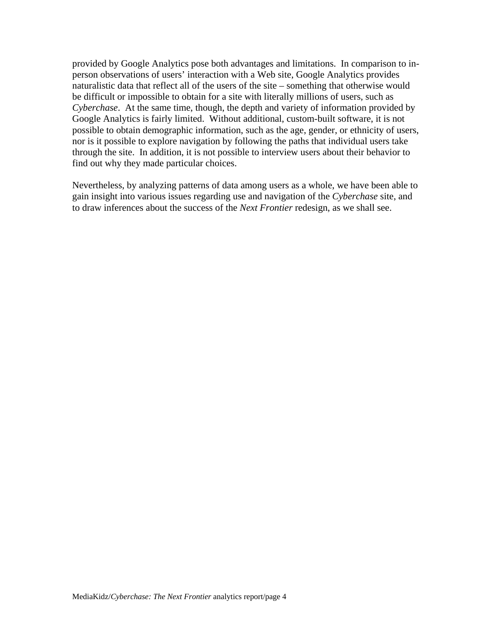provided by Google Analytics pose both advantages and limitations. In comparison to inperson observations of users' interaction with a Web site, Google Analytics provides naturalistic data that reflect all of the users of the site – something that otherwise would be difficult or impossible to obtain for a site with literally millions of users, such as *Cyberchase*. At the same time, though, the depth and variety of information provided by Google Analytics is fairly limited. Without additional, custom-built software, it is not possible to obtain demographic information, such as the age, gender, or ethnicity of users, nor is it possible to explore navigation by following the paths that individual users take through the site. In addition, it is not possible to interview users about their behavior to find out why they made particular choices.

Nevertheless, by analyzing patterns of data among users as a whole, we have been able to gain insight into various issues regarding use and navigation of the *Cyberchase* site, and to draw inferences about the success of the *Next Frontier* redesign, as we shall see.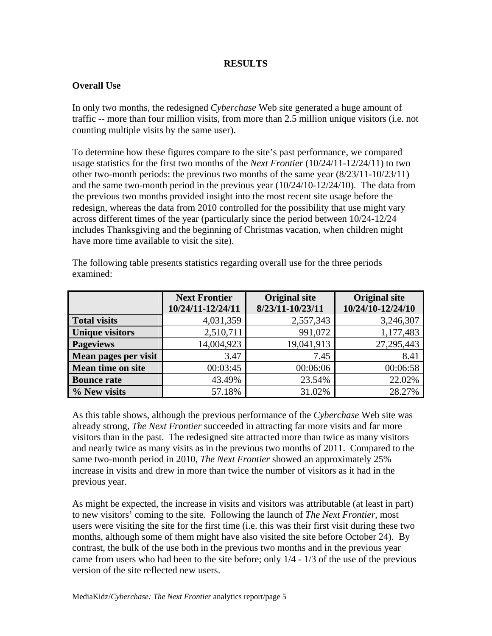## **RESULTS**

## **Overall Use**

In only two months, the redesigned *Cyberchase* Web site generated a huge amount of traffic -- more than four million visits, from more than 2.5 million unique visitors (i.e. not counting multiple visits by the same user).

To determine how these figures compare to the site's past performance, we compared usage statistics for the first two months of the *Next Frontier* (10/24/11-12/24/11) to two other two-month periods: the previous two months of the same year (8/23/11-10/23/11) and the same two-month period in the previous year (10/24/10-12/24/10). The data from the previous two months provided insight into the most recent site usage before the redesign, whereas the data from 2010 controlled for the possibility that use might vary across different times of the year (particularly since the period between 10/24-12/24 includes Thanksgiving and the beginning of Christmas vacation, when children might have more time available to visit the site).

|                          | <b>Next Frontier</b><br>10/24/11-12/24/11 | <b>Original site</b><br>8/23/11-10/23/11 | <b>Original site</b><br>10/24/10-12/24/10 |
|--------------------------|-------------------------------------------|------------------------------------------|-------------------------------------------|
| <b>Total visits</b>      | 4,031,359                                 | 2,557,343                                | 3,246,307                                 |
| <b>Unique visitors</b>   | 2,510,711                                 | 991,072                                  | 1,177,483                                 |
| <b>Pageviews</b>         | 14,004,923                                | 19,041,913                               | 27,295,443                                |
| Mean pages per visit     | 3.47                                      | 7.45                                     | 8.41                                      |
| <b>Mean time on site</b> | 00:03:45                                  | 00:06:06                                 | 00:06:58                                  |
| <b>Bounce rate</b>       | 43.49%                                    | 23.54%                                   | 22.02%                                    |
| % New visits             | 57.18%                                    | 31.02%                                   | 28.27%                                    |

The following table presents statistics regarding overall use for the three periods examined:

As this table shows, although the previous performance of the *Cyberchase* Web site was already strong, *The Next Frontier* succeeded in attracting far more visits and far more visitors than in the past. The redesigned site attracted more than twice as many visitors and nearly twice as many visits as in the previous two months of 2011. Compared to the same two-month period in 2010, *The Next Frontier* showed an approximately 25% increase in visits and drew in more than twice the number of visitors as it had in the previous year.

As might be expected, the increase in visits and visitors was attributable (at least in part) to new visitors' coming to the site. Following the launch of *The Next Frontier*, most users were visiting the site for the first time (i.e. this was their first visit during these two months, although some of them might have also visited the site before October 24). By contrast, the bulk of the use both in the previous two months and in the previous year came from users who had been to the site before; only 1/4 - 1/3 of the use of the previous version of the site reflected new users.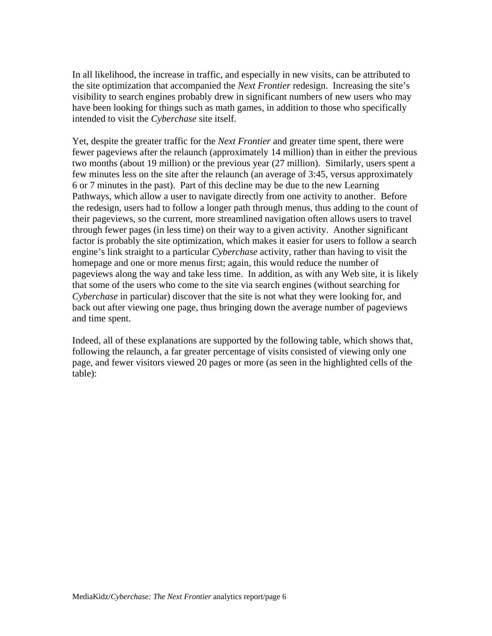In all likelihood, the increase in traffic, and especially in new visits, can be attributed to the site optimization that accompanied the *Next Frontier* redesign. Increasing the site's visibility to search engines probably drew in significant numbers of new users who may have been looking for things such as math games, in addition to those who specifically intended to visit the *Cyberchase* site itself.

Yet, despite the greater traffic for the *Next Frontier* and greater time spent, there were fewer pageviews after the relaunch (approximately 14 million) than in either the previous two months (about 19 million) or the previous year (27 million). Similarly, users spent a few minutes less on the site after the relaunch (an average of 3:45, versus approximately 6 or 7 minutes in the past). Part of this decline may be due to the new Learning Pathways, which allow a user to navigate directly from one activity to another. Before the redesign, users had to follow a longer path through menus, thus adding to the count of their pageviews, so the current, more streamlined navigation often allows users to travel through fewer pages (in less time) on their way to a given activity. Another significant factor is probably the site optimization, which makes it easier for users to follow a search engine's link straight to a particular *Cyberchase* activity, rather than having to visit the homepage and one or more menus first; again, this would reduce the number of pageviews along the way and take less time. In addition, as with any Web site, it is likely that some of the users who come to the site via search engines (without searching for *Cyberchase* in particular) discover that the site is not what they were looking for, and back out after viewing one page, thus bringing down the average number of pageviews and time spent.

Indeed, all of these explanations are supported by the following table, which shows that, following the relaunch, a far greater percentage of visits consisted of viewing only one page, and fewer visitors viewed 20 pages or more (as seen in the highlighted cells of the table):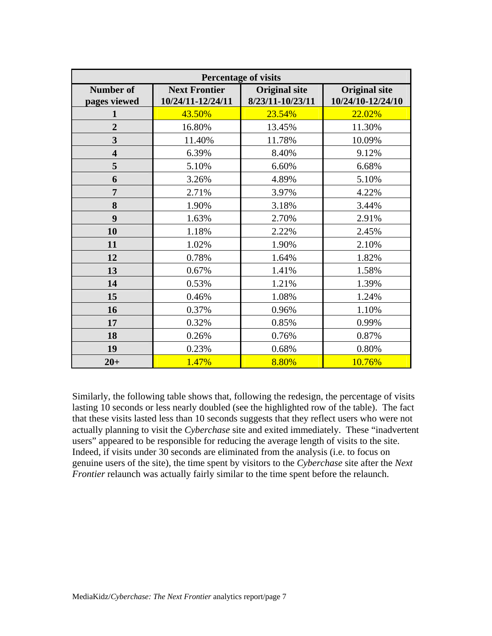| <b>Percentage of visits</b>      |                                                                                       |        |                                           |  |  |  |
|----------------------------------|---------------------------------------------------------------------------------------|--------|-------------------------------------------|--|--|--|
| <b>Number of</b><br>pages viewed | <b>Next Frontier</b><br><b>Original site</b><br>8/23/11-10/23/11<br>10/24/11-12/24/11 |        | <b>Original site</b><br>10/24/10-12/24/10 |  |  |  |
| 1                                | 43.50%                                                                                | 23.54% | 22.02%                                    |  |  |  |
| $\overline{2}$                   | 16.80%                                                                                | 13.45% | 11.30%                                    |  |  |  |
| $\overline{\mathbf{3}}$          | 11.40%                                                                                | 11.78% | 10.09%                                    |  |  |  |
| $\overline{\mathbf{4}}$          | 6.39%                                                                                 | 8.40%  | 9.12%                                     |  |  |  |
| 5                                | 5.10%                                                                                 | 6.60%  | 6.68%                                     |  |  |  |
| 6                                | 3.26%                                                                                 | 4.89%  | 5.10%                                     |  |  |  |
| 7                                | 2.71%                                                                                 | 3.97%  | 4.22%                                     |  |  |  |
| 8                                | 1.90%                                                                                 | 3.18%  | 3.44%                                     |  |  |  |
| 9                                | 1.63%                                                                                 | 2.70%  | 2.91%                                     |  |  |  |
| 10                               | 1.18%                                                                                 | 2.22%  | 2.45%                                     |  |  |  |
| 11                               | 1.02%                                                                                 | 1.90%  | 2.10%                                     |  |  |  |
| 12                               | 0.78%                                                                                 | 1.64%  | 1.82%                                     |  |  |  |
| 13                               | 0.67%                                                                                 | 1.41%  | 1.58%                                     |  |  |  |
| 14                               | 0.53%                                                                                 | 1.21%  | 1.39%                                     |  |  |  |
| 15                               | 0.46%                                                                                 | 1.08%  | 1.24%                                     |  |  |  |
| 16                               | 0.37%                                                                                 | 0.96%  | 1.10%                                     |  |  |  |
| 17                               | 0.32%                                                                                 | 0.85%  | 0.99%                                     |  |  |  |
| 18                               | 0.26%                                                                                 | 0.76%  | 0.87%                                     |  |  |  |
| 19                               | 0.23%                                                                                 | 0.68%  | 0.80%                                     |  |  |  |
| $20+$                            | 1.47%                                                                                 | 8.80%  | 10.76%                                    |  |  |  |

Similarly, the following table shows that, following the redesign, the percentage of visits lasting 10 seconds or less nearly doubled (see the highlighted row of the table). The fact that these visits lasted less than 10 seconds suggests that they reflect users who were not actually planning to visit the *Cyberchase* site and exited immediately. These "inadvertent users" appeared to be responsible for reducing the average length of visits to the site. Indeed, if visits under 30 seconds are eliminated from the analysis (i.e. to focus on genuine users of the site), the time spent by visitors to the *Cyberchase* site after the *Next Frontier* relaunch was actually fairly similar to the time spent before the relaunch.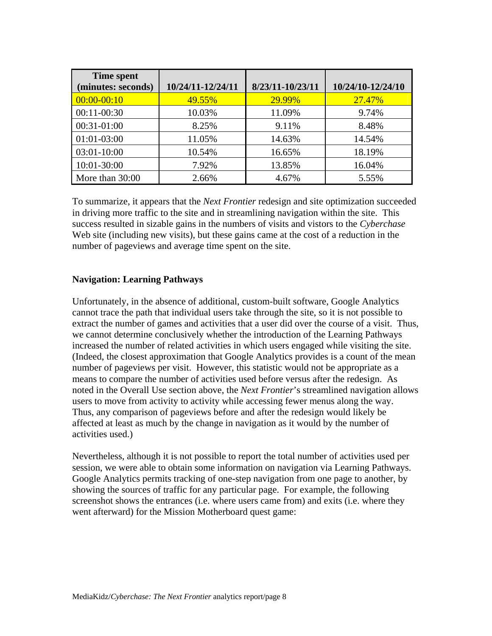| <b>Time spent</b><br>(minutes: seconds) | 10/24/11-12/24/11 | 8/23/11-10/23/11 | 10/24/10-12/24/10 |
|-----------------------------------------|-------------------|------------------|-------------------|
| $00:00 - 00:10$                         | 49.55%            | 29.99%           | 27.47%            |
| $00:11-00:30$                           | 10.03%            | 11.09%           | 9.74%             |
| 00:31-01:00                             | 8.25%             | 9.11%            | 8.48%             |
| 01:01-03:00                             | 11.05%            | 14.63%           | 14.54%            |
| 03:01-10:00                             | 10.54%            | 16.65%           | 18.19%            |
| 10:01-30:00                             | 7.92%             | 13.85%           | 16.04%            |
| More than 30:00                         | 2.66%             | 4.67%            | 5.55%             |

To summarize, it appears that the *Next Frontier* redesign and site optimization succeeded in driving more traffic to the site and in streamlining navigation within the site. This success resulted in sizable gains in the numbers of visits and vistors to the *Cyberchase*  Web site (including new visits), but these gains came at the cost of a reduction in the number of pageviews and average time spent on the site.

#### **Navigation: Learning Pathways**

Unfortunately, in the absence of additional, custom-built software, Google Analytics cannot trace the path that individual users take through the site, so it is not possible to extract the number of games and activities that a user did over the course of a visit. Thus, we cannot determine conclusively whether the introduction of the Learning Pathways increased the number of related activities in which users engaged while visiting the site. (Indeed, the closest approximation that Google Analytics provides is a count of the mean number of pageviews per visit. However, this statistic would not be appropriate as a means to compare the number of activities used before versus after the redesign. As noted in the Overall Use section above, the *Next Frontier*'s streamlined navigation allows users to move from activity to activity while accessing fewer menus along the way. Thus, any comparison of pageviews before and after the redesign would likely be affected at least as much by the change in navigation as it would by the number of activities used.)

Nevertheless, although it is not possible to report the total number of activities used per session, we were able to obtain some information on navigation via Learning Pathways. Google Analytics permits tracking of one-step navigation from one page to another, by showing the sources of traffic for any particular page. For example, the following screenshot shows the entrances (i.e. where users came from) and exits (i.e. where they went afterward) for the Mission Motherboard quest game: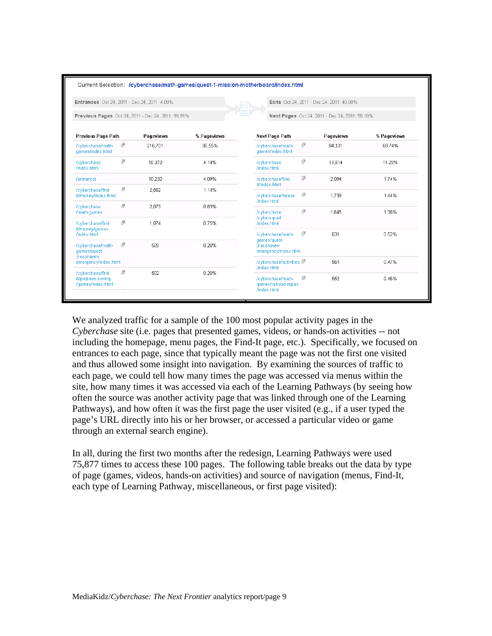|                                                              |   | Entrances Oct 24, 2011 - Dec 24, 2011: 4.09%       |             |                                                     |   | Exits Oct 24, 2011 - Dec 24, 2011: 49.90%      |             |
|--------------------------------------------------------------|---|----------------------------------------------------|-------------|-----------------------------------------------------|---|------------------------------------------------|-------------|
|                                                              |   | Previous Pages Oct 24, 2011 - Dec 24, 2011: 95.91% |             |                                                     |   | Next Pages Oct 24, 2011 - Dec 24, 2011: 50.10% |             |
| Previous Page Path                                           |   | Pageviews                                          | % Pageviews | <b>Next Page Path</b>                               |   | Pageviews                                      | % Pageviews |
| /cyberchase/math-<br>games/index.html                        | ⊕ | 216.701                                            | 86.55%      | /cyberchase/math-<br>games/index.html               | ⊕ | 84.131                                         | 69.74%      |
| /cyberchase<br>/index.html                                   | 凸 | 10,370                                             | 4.14%       | /cyberchase<br>/index.html                          | ⊕ | 13,614                                         | 11.29%      |
| (entrance)                                                   |   | 10,232                                             | 4.09%       | /cyberchase/find-<br>it/index.html                  | 凸 | 2,094                                          | 1.74%       |
| /cyberchase/find-<br>it/money/index.html                     | 凸 | 2.862                                              | 1.14%       | /cyberchase/videos<br>/index.html                   | ⊕ | 1,739                                          | 1.44%       |
| /cyberchase<br>/math-games                                   | 凸 | 2,073                                              | 0.83%       | /cyberchase                                         | 凸 | 1,645                                          | 1.36%       |
| /cyberchase/find-                                            | 凸 | 1,874                                              | 0.75%       | /cybersquad<br>/index.html                          |   |                                                |             |
| it/money/games<br>/index.html                                |   |                                                    |             | /cyberchase/math-                                   | 凸 | 631                                            | 0.52%       |
| /cyberchase/math-<br>games/guest-<br>3-ecohaven-             | 國 | 509                                                | 0.20%       | games/quest-<br>3-ecohaven-<br>emergency/index.html |   |                                                |             |
| emergency/index.html                                         |   |                                                    |             | /cyberchase/activities (<br>/index.html             |   | 561                                            | 0.47%       |
| /cyberchase/find-<br>it/problem-solving<br>/games/index.html | 邑 | 502                                                | 0.20%       | /cyberchase/math-<br>games/railroad-repair          | 凸 | 553                                            | 0.46%       |

We analyzed traffic for a sample of the 100 most popular activity pages in the *Cyberchase* site (i.e. pages that presented games, videos, or hands-on activities -- not including the homepage, menu pages, the Find-It page, etc.). Specifically, we focused on entrances to each page, since that typically meant the page was not the first one visited and thus allowed some insight into navigation. By examining the sources of traffic to each page, we could tell how many times the page was accessed via menus within the site, how many times it was accessed via each of the Learning Pathways (by seeing how often the source was another activity page that was linked through one of the Learning Pathways), and how often it was the first page the user visited (e.g., if a user typed the page's URL directly into his or her browser, or accessed a particular video or game through an external search engine).

In all, during the first two months after the redesign, Learning Pathways were used 75,877 times to access these 100 pages. The following table breaks out the data by type of page (games, videos, hands-on activities) and source of navigation (menus, Find-It, each type of Learning Pathway, miscellaneous, or first page visited):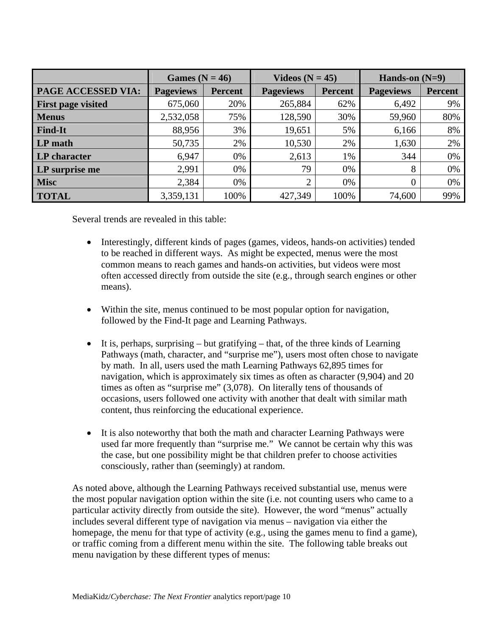|                           | Games ( $N = 46$ ) |                | Videos $(N = 45)$ |                | Hands-on $(N=9)$ |                |
|---------------------------|--------------------|----------------|-------------------|----------------|------------------|----------------|
| <b>PAGE ACCESSED VIA:</b> | <b>Pageviews</b>   | <b>Percent</b> | <b>Pageviews</b>  | <b>Percent</b> | <b>Pageviews</b> | <b>Percent</b> |
| <b>First page visited</b> | 675,060            | 20%            | 265,884           | 62%            | 6,492            | 9%             |
| <b>Menus</b>              | 2,532,058          | 75%            | 128,590           | 30%            | 59,960           | 80%            |
| <b>Find-It</b>            | 88,956             | 3%             | 19,651            | 5%             | 6,166            | 8%             |
| LP math                   | 50,735             | 2%             | 10,530            | 2%             | 1,630            | 2%             |
| LP character              | 6,947              | 0%             | 2,613             | 1%             | 344              | 0%             |
| <b>LP</b> surprise me     | 2,991              | 0%             | 79                | 0%             | 8                | 0%             |
| <b>Misc</b>               | 2,384              | 0%             | 2                 | 0%             | 0                | 0%             |
| <b>TOTAL</b>              | 3,359,131          | 100%           | 427,349           | 100%           | 74,600           | 99%            |

Several trends are revealed in this table:

- Interestingly, different kinds of pages (games, videos, hands-on activities) tended to be reached in different ways. As might be expected, menus were the most common means to reach games and hands-on activities, but videos were most often accessed directly from outside the site (e.g., through search engines or other means).
- Within the site, menus continued to be most popular option for navigation, followed by the Find-It page and Learning Pathways.
- It is, perhaps, surprising  $-$  but gratifying  $-$  that, of the three kinds of Learning Pathways (math, character, and "surprise me"), users most often chose to navigate by math. In all, users used the math Learning Pathways 62,895 times for navigation, which is approximately six times as often as character (9,904) and 20 times as often as "surprise me" (3,078). On literally tens of thousands of occasions, users followed one activity with another that dealt with similar math content, thus reinforcing the educational experience.
- It is also noteworthy that both the math and character Learning Pathways were used far more frequently than "surprise me." We cannot be certain why this was the case, but one possibility might be that children prefer to choose activities consciously, rather than (seemingly) at random.

As noted above, although the Learning Pathways received substantial use, menus were the most popular navigation option within the site (i.e. not counting users who came to a particular activity directly from outside the site). However, the word "menus" actually includes several different type of navigation via menus – navigation via either the homepage, the menu for that type of activity (e.g., using the games menu to find a game), or traffic coming from a different menu within the site. The following table breaks out menu navigation by these different types of menus: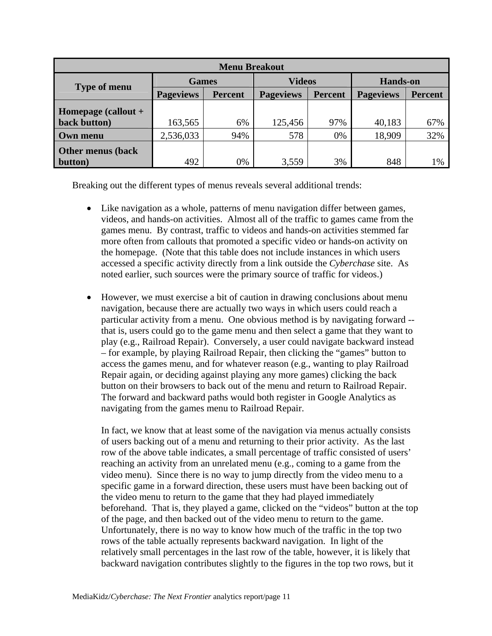| <b>Menu Breakout</b>     |                                    |     |                  |                |                  |                |  |
|--------------------------|------------------------------------|-----|------------------|----------------|------------------|----------------|--|
| <b>Type of menu</b>      | <b>Games</b>                       |     | <b>Videos</b>    |                | <b>Hands-on</b>  |                |  |
|                          | <b>Pageviews</b><br><b>Percent</b> |     | <b>Pageviews</b> | <b>Percent</b> | <b>Pageviews</b> | <b>Percent</b> |  |
| Homepage (callout +      |                                    |     |                  |                |                  |                |  |
| back button)             | 163,565                            | 6%  | 125,456          | 97%            | 40,183           | 67%            |  |
| Own menu                 | 2,536,033                          | 94% | 578              | 0%             | 18,909           | 32%            |  |
| <b>Other menus (back</b> |                                    |     |                  |                |                  |                |  |
| button)                  | 492                                | 0%  | 3,559            | 3%             | 848              | 1%             |  |

Breaking out the different types of menus reveals several additional trends:

- Like navigation as a whole, patterns of menu navigation differ between games, videos, and hands-on activities. Almost all of the traffic to games came from the games menu. By contrast, traffic to videos and hands-on activities stemmed far more often from callouts that promoted a specific video or hands-on activity on the homepage. (Note that this table does not include instances in which users accessed a specific activity directly from a link outside the *Cyberchase* site. As noted earlier, such sources were the primary source of traffic for videos.)
- However, we must exercise a bit of caution in drawing conclusions about menu navigation, because there are actually two ways in which users could reach a particular activity from a menu. One obvious method is by navigating forward - that is, users could go to the game menu and then select a game that they want to play (e.g., Railroad Repair). Conversely, a user could navigate backward instead – for example, by playing Railroad Repair, then clicking the "games" button to access the games menu, and for whatever reason (e.g., wanting to play Railroad Repair again, or deciding against playing any more games) clicking the back button on their browsers to back out of the menu and return to Railroad Repair. The forward and backward paths would both register in Google Analytics as navigating from the games menu to Railroad Repair.

In fact, we know that at least some of the navigation via menus actually consists of users backing out of a menu and returning to their prior activity. As the last row of the above table indicates, a small percentage of traffic consisted of users' reaching an activity from an unrelated menu (e.g., coming to a game from the video menu). Since there is no way to jump directly from the video menu to a specific game in a forward direction, these users must have been backing out of the video menu to return to the game that they had played immediately beforehand. That is, they played a game, clicked on the "videos" button at the top of the page, and then backed out of the video menu to return to the game. Unfortunately, there is no way to know how much of the traffic in the top two rows of the table actually represents backward navigation. In light of the relatively small percentages in the last row of the table, however, it is likely that backward navigation contributes slightly to the figures in the top two rows, but it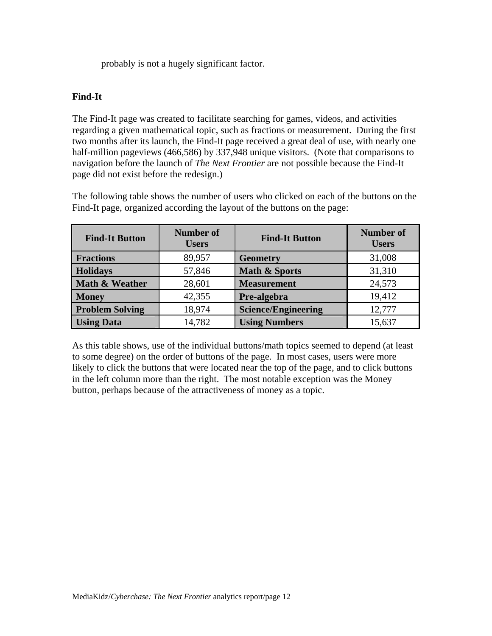probably is not a hugely significant factor.

### **Find-It**

The Find-It page was created to facilitate searching for games, videos, and activities regarding a given mathematical topic, such as fractions or measurement. During the first two months after its launch, the Find-It page received a great deal of use, with nearly one half-million pageviews (466,586) by 337,948 unique visitors. (Note that comparisons to navigation before the launch of *The Next Frontier* are not possible because the Find-It page did not exist before the redesign.)

The following table shows the number of users who clicked on each of the buttons on the Find-It page, organized according the layout of the buttons on the page:

| <b>Find-It Button</b>  | <b>Number of</b><br><b>Users</b> | Number of<br><b>Find-It Button</b><br><b>Users</b> |        |  |
|------------------------|----------------------------------|----------------------------------------------------|--------|--|
| <b>Fractions</b>       | 89,957                           | <b>Geometry</b>                                    | 31,008 |  |
| <b>Holidays</b>        | 57,846                           | Math & Sports                                      | 31,310 |  |
| Math & Weather         | 28,601                           | <b>Measurement</b>                                 | 24,573 |  |
| <b>Money</b>           | 42,355                           | Pre-algebra                                        | 19,412 |  |
| <b>Problem Solving</b> | 18,974                           | <b>Science/Engineering</b>                         | 12,777 |  |
| <b>Using Data</b>      | 14,782                           | <b>Using Numbers</b>                               | 15,637 |  |

As this table shows, use of the individual buttons/math topics seemed to depend (at least to some degree) on the order of buttons of the page. In most cases, users were more likely to click the buttons that were located near the top of the page, and to click buttons in the left column more than the right. The most notable exception was the Money button, perhaps because of the attractiveness of money as a topic.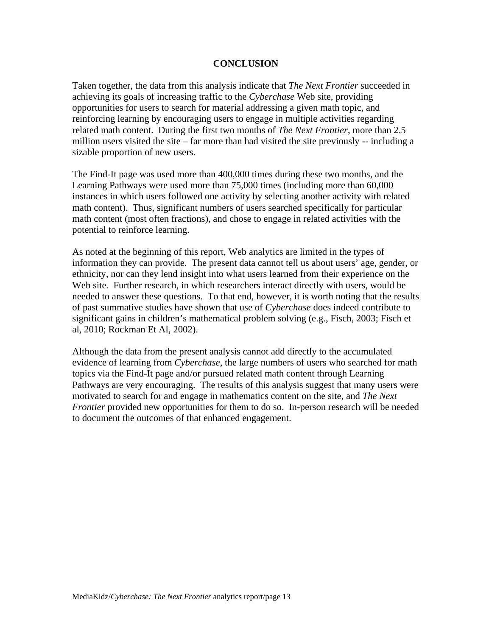#### **CONCLUSION**

Taken together, the data from this analysis indicate that *The Next Frontier* succeeded in achieving its goals of increasing traffic to the *Cyberchase* Web site, providing opportunities for users to search for material addressing a given math topic, and reinforcing learning by encouraging users to engage in multiple activities regarding related math content. During the first two months of *The Next Frontier*, more than 2.5 million users visited the site – far more than had visited the site previously -- including a sizable proportion of new users.

The Find-It page was used more than 400,000 times during these two months, and the Learning Pathways were used more than 75,000 times (including more than 60,000 instances in which users followed one activity by selecting another activity with related math content). Thus, significant numbers of users searched specifically for particular math content (most often fractions), and chose to engage in related activities with the potential to reinforce learning.

As noted at the beginning of this report, Web analytics are limited in the types of information they can provide. The present data cannot tell us about users' age, gender, or ethnicity, nor can they lend insight into what users learned from their experience on the Web site. Further research, in which researchers interact directly with users, would be needed to answer these questions. To that end, however, it is worth noting that the results of past summative studies have shown that use of *Cyberchase* does indeed contribute to significant gains in children's mathematical problem solving (e.g., Fisch, 2003; Fisch et al, 2010; Rockman Et Al, 2002).

Although the data from the present analysis cannot add directly to the accumulated evidence of learning from *Cyberchase*, the large numbers of users who searched for math topics via the Find-It page and/or pursued related math content through Learning Pathways are very encouraging. The results of this analysis suggest that many users were motivated to search for and engage in mathematics content on the site, and *The Next Frontier* provided new opportunities for them to do so. In-person research will be needed to document the outcomes of that enhanced engagement.